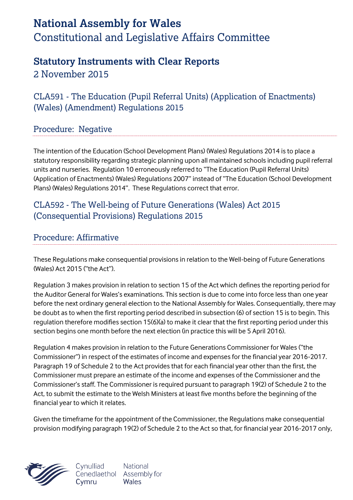# **National Assembly for Wales** Constitutional and Legislative Affairs Committee

## **Statutory Instruments with Clear Reports**

2 November 2015

CLA591 - The Education (Pupil Referral Units) (Application of Enactments) (Wales) (Amendment) Regulations 2015

### Procedure: Negative

The intention of the Education (School Development Plans) (Wales) Regulations 2014 is to place a statutory responsibility regarding strategic planning upon all maintained schools including pupil referral units and nurseries. Regulation 10 erroneously referred to "The Education (Pupil Referral Units) (Application of Enactments) (Wales) Regulations 2007" instead of "The Education (School Development Plans) (Wales) Regulations 2014". These Regulations correct that error.

### CLA592 - The Well-being of Future Generations (Wales) Act 2015 (Consequential Provisions) Regulations 2015

#### Procedure: Affirmative

These Regulations make consequential provisions in relation to the Well-being of Future Generations (Wales) Act 2015 ("the Act").

Regulation 3 makes provision in relation to section 15 of the Act which defines the reporting period for the Auditor General for Wales's examinations. This section is due to come into force less than one year before the next ordinary general election to the National Assembly for Wales. Consequentially, there may be doubt as to when the first reporting period described in subsection (6) of section 15 is to begin. This regulation therefore modifies section 15(6)(a) to make it clear that the first reporting period under this section begins one month before the next election (in practice this will be 5 April 2016).

Regulation 4 makes provision in relation to the Future Generations Commissioner for Wales ("the Commissioner") in respect of the estimates of income and expenses for the financial year 2016-2017. Paragraph 19 of Schedule 2 to the Act provides that for each financial year other than the first, the Commissioner must prepare an estimate of the income and expenses of the Commissioner and the Commissioner's staff. The Commissioner is required pursuant to paragraph 19(2) of Schedule 2 to the Act, to submit the estimate to the Welsh Ministers at least five months before the beginning of the financial year to which it relates.

Given the timeframe for the appointment of the Commissioner, the Regulations make consequential provision modifying paragraph 19(2) of Schedule 2 to the Act so that, for financial year 2016-2017 only,



Cynulliad **National** Cenedlaethol Assembly for Wales Cymru